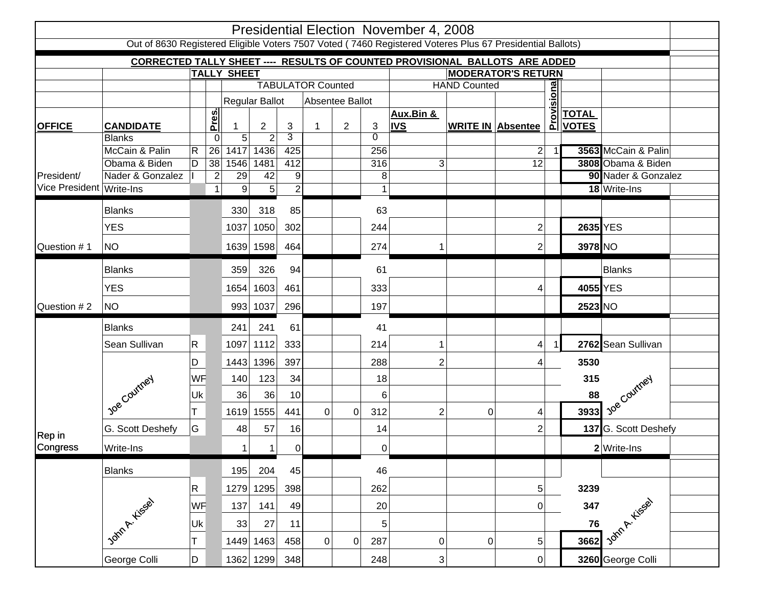| Presidential Election November 4, 2008                                                                   |                                   |                          |                  |                     |                                  |                     |                 |                |                  |                     |                          |                 |            |              |                           |  |
|----------------------------------------------------------------------------------------------------------|-----------------------------------|--------------------------|------------------|---------------------|----------------------------------|---------------------|-----------------|----------------|------------------|---------------------|--------------------------|-----------------|------------|--------------|---------------------------|--|
| Out of 8630 Registered Eligible Voters 7507 Voted (7460 Registered Voteres Plus 67 Presidential Ballots) |                                   |                          |                  |                     |                                  |                     |                 |                |                  |                     |                          |                 |            |              |                           |  |
| <b>CORRECTED TALLY SHEET --- RESULTS OF COUNTED PROVISIONAL BALLOTS ARE ADDED</b>                        |                                   |                          |                  |                     |                                  |                     |                 |                |                  |                     |                          |                 |            |              |                           |  |
|                                                                                                          |                                   | <b>TALLY SHEET</b>       |                  |                     | <b>MODERATOR'S RETURN</b>        |                     |                 |                |                  |                     |                          |                 |            |              |                           |  |
|                                                                                                          |                                   | <b>TABULATOR Counted</b> |                  |                     |                                  |                     |                 |                |                  | <b>HAND Counted</b> |                          |                 |            |              |                           |  |
|                                                                                                          |                                   |                          |                  |                     | Regular Ballot                   |                     | Absentee Ballot |                |                  |                     |                          |                 |            |              |                           |  |
|                                                                                                          |                                   |                          | Pres.            |                     |                                  |                     |                 |                |                  | Aux.Bin &           |                          |                 | Provisiona | <b>TOTAL</b> |                           |  |
| <b>OFFICE</b>                                                                                            | <b>CANDIDATE</b><br><b>Blanks</b> |                          | 0                | 1<br>$\overline{5}$ | $\overline{2}$<br>$\overline{2}$ | 3<br>$\overline{3}$ |                 | $\overline{2}$ | 3<br>$\Omega$    | <b>IVS</b>          | <b>WRITE IN Absentee</b> |                 |            | <b>VOTES</b> |                           |  |
| President/                                                                                               | McCain & Palin                    | $\overline{\mathsf{R}}$  | 26               | 1417                | 1436                             | 425                 |                 |                | 256              |                     |                          | $\overline{2}$  |            |              | 3563 McCain & Palin       |  |
|                                                                                                          | Obama & Biden                     | D                        | $\overline{38}$  | 1546                | 1481                             | 412                 |                 |                | 316              | 3                   |                          | $\overline{12}$ |            |              | 3808 Obama & Biden        |  |
|                                                                                                          | Nader & Gonzalez                  |                          | $\boldsymbol{2}$ | 29                  | 42                               | 9                   |                 |                | 8                |                     |                          |                 |            |              | 90 Nader & Gonzalez       |  |
| Vice President Write-Ins                                                                                 |                                   |                          | $\mathbf{1}$     | $\boldsymbol{9}$    | 5                                | $\overline{2}$      |                 |                | $\mathbf 1$      |                     |                          |                 |            |              | $\overline{18}$ Write-Ins |  |
|                                                                                                          | <b>Blanks</b>                     |                          |                  | 330                 | 318                              | 85                  |                 |                | 63               |                     |                          |                 |            |              |                           |  |
|                                                                                                          | <b>YES</b>                        |                          |                  | 1037                | 1050                             | 302                 |                 |                | 244              |                     |                          | $\overline{2}$  |            | 2635 YES     |                           |  |
| Question #1                                                                                              | <b>NO</b>                         |                          |                  |                     | 1639 1598                        | 464                 |                 |                | 274              | 1                   |                          | $\overline{2}$  |            | 3978 NO      |                           |  |
|                                                                                                          |                                   |                          |                  |                     |                                  |                     |                 |                |                  |                     |                          |                 |            |              |                           |  |
|                                                                                                          | <b>Blanks</b>                     |                          |                  | 359                 | 326                              | 94                  |                 |                | 61               |                     |                          |                 |            |              | <b>Blanks</b>             |  |
|                                                                                                          | <b>YES</b>                        |                          |                  | 1654                | 1603                             | 461                 |                 |                | 333              |                     |                          | 4               |            | 4055 YES     |                           |  |
| Question #2                                                                                              | <b>NO</b>                         |                          |                  | 993                 | 1037                             | 296                 |                 |                | 197              |                     |                          |                 |            | 2523 NO      |                           |  |
|                                                                                                          | <b>Blanks</b>                     |                          |                  | 241                 | 241                              | 61                  |                 |                | 41               |                     |                          |                 |            |              |                           |  |
|                                                                                                          | Sean Sullivan                     | $\mathsf{R}$             |                  | 1097                | 1112                             | 333                 |                 |                | 214              | 1                   |                          | $\vert 4 \vert$ |            |              | 2762 Sean Sullivan        |  |
| Rep in                                                                                                   |                                   | D                        |                  | 1443                | 1396                             | 397                 |                 |                | 288              | $\overline{2}$      |                          | 4               |            | 3530         |                           |  |
|                                                                                                          | Joe Courtney                      | WF                       |                  | 140                 | 123                              | 34                  |                 |                | 18               |                     |                          |                 |            | 315          |                           |  |
|                                                                                                          |                                   | Uk                       |                  | 36                  | 36                               | 10                  |                 |                | 6                |                     |                          |                 |            | 88           | <b>1</b> ye Courney       |  |
|                                                                                                          |                                   | т                        |                  | 1619                | 1555                             | 441                 | $\mathbf 0$     |                | 0<br>312         | $\overline{2}$      | 0                        | 4               |            | 3933         |                           |  |
|                                                                                                          | G. Scott Deshefy                  | G                        |                  | 48                  | 57                               | 16                  |                 |                | 14               |                     |                          | $\overline{2}$  |            |              | 137 G. Scott Deshefy      |  |
| Congress                                                                                                 | Write-Ins                         |                          |                  | 1                   | 1                                | $\overline{0}$      |                 |                | 0                |                     |                          |                 |            |              | 2 Write-Ins               |  |
|                                                                                                          | <b>Blanks</b>                     |                          |                  | 195                 | 204                              | 45                  |                 |                | 46               |                     |                          |                 |            |              |                           |  |
|                                                                                                          |                                   | $\overline{\mathsf{R}}$  |                  | 1279                | 1295                             | 398                 |                 |                | 262              |                     |                          | 5               |            | 3239         |                           |  |
|                                                                                                          | John A. Kiesel                    | WF                       |                  | 137                 | 141                              | 49                  |                 |                | 20               |                     |                          | 0               |            | 347          |                           |  |
|                                                                                                          |                                   | Uk                       |                  | 33                  | 27                               | 11                  |                 |                | $\sqrt{5}$       |                     |                          |                 |            | ${\bf 76}$   |                           |  |
|                                                                                                          |                                   | T                        |                  | 1449                | 1463                             | 458                 | $\mathbf 0$     |                | $\pmb{0}$<br>287 | $\pmb{0}$           | 0                        | $5\overline{)}$ |            | 3662         | John A. Kissal            |  |
|                                                                                                          | George Colli                      | D                        |                  | 1362                | 1299                             | 348                 |                 |                | 248              | $\sqrt{3}$          |                          | 0               |            |              | 3260 George Colli         |  |